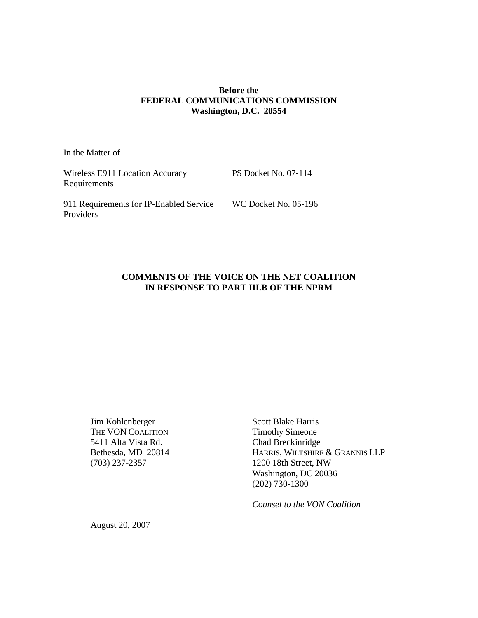# **Before the FEDERAL COMMUNICATIONS COMMISSION Washington, D.C. 20554**

| In the Matter of                                     |                      |
|------------------------------------------------------|----------------------|
| Wireless E911 Location Accuracy<br>Requirements      | PS Docket No. 07-114 |
| 911 Requirements for IP-Enabled Service<br>Providers | WC Docket No. 05-196 |

## **COMMENTS OF THE VOICE ON THE NET COALITION IN RESPONSE TO PART III.B OF THE NPRM**

Jim Kohlenberger Scott Blake Harris<br>
THE VON COALITION Timothy Simeone THE VON COALITION 5411 Alta Vista Rd. Chad Breckinridge

Bethesda, MD 20814 HARRIS, WILTSHIRE & GRANNIS LLP (703) 237-2357 1200 18th Street, NW Washington, DC 20036 (202) 730-1300

*Counsel to the VON Coalition*

August 20, 2007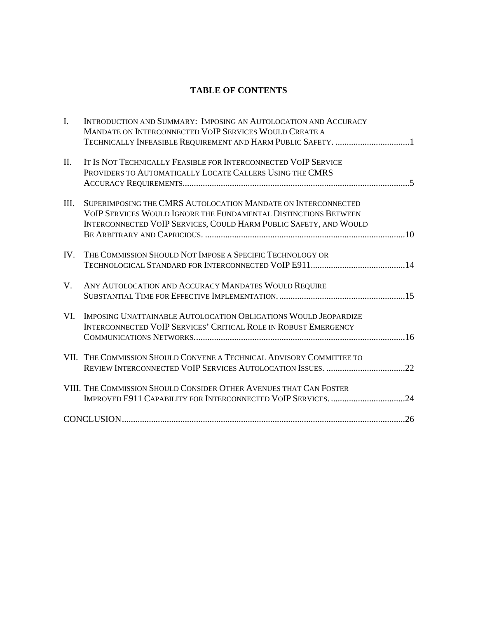# **TABLE OF CONTENTS**

| $\mathbf{I}$ . | INTRODUCTION AND SUMMARY: IMPOSING AN AUTOLOCATION AND ACCURACY<br>MANDATE ON INTERCONNECTED VOIP SERVICES WOULD CREATE A<br>TECHNICALLY INFEASIBLE REQUIREMENT AND HARM PUBLIC SAFETY. 1             |
|----------------|-------------------------------------------------------------------------------------------------------------------------------------------------------------------------------------------------------|
| II.            | IT IS NOT TECHNICALLY FEASIBLE FOR INTERCONNECTED VOIP SERVICE<br>PROVIDERS TO AUTOMATICALLY LOCATE CALLERS USING THE CMRS                                                                            |
| III.           | SUPERIMPOSING THE CMRS AUTOLOCATION MANDATE ON INTERCONNECTED<br>VOIP SERVICES WOULD IGNORE THE FUNDAMENTAL DISTINCTIONS BETWEEN<br>INTERCONNECTED VOIP SERVICES, COULD HARM PUBLIC SAFETY, AND WOULD |
| IV.            | THE COMMISSION SHOULD NOT IMPOSE A SPECIFIC TECHNOLOGY OR                                                                                                                                             |
| $V_{\cdot}$    | ANY AUTOLOCATION AND ACCURACY MANDATES WOULD REQUIRE                                                                                                                                                  |
| VI.            | IMPOSING UNATTAINABLE AUTOLOCATION OBLIGATIONS WOULD JEOPARDIZE<br><b>INTERCONNECTED VOIP SERVICES' CRITICAL ROLE IN ROBUST EMERGENCY</b>                                                             |
|                | VII. THE COMMISSION SHOULD CONVENE A TECHNICAL ADVISORY COMMITTEE TO                                                                                                                                  |
|                | VIII. THE COMMISSION SHOULD CONSIDER OTHER AVENUES THAT CAN FOSTER<br>IMPROVED E911 CAPABILITY FOR INTERCONNECTED VOIP SERVICES24                                                                     |
|                |                                                                                                                                                                                                       |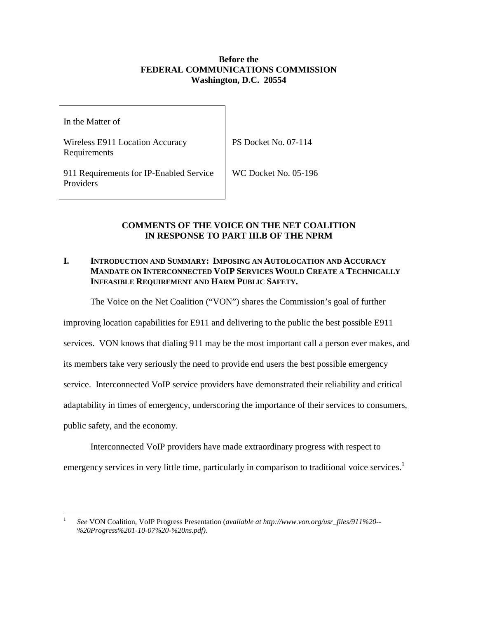# **Before the FEDERAL COMMUNICATIONS COMMISSION Washington, D.C. 20554**

In the Matter of

Wireless E911 Location Accuracy Requirements

PS Docket No. 07-114

911 Requirements for IP-Enabled Service Providers

WC Docket No. 05-196

# **COMMENTS OF THE VOICE ON THE NET COALITION IN RESPONSE TO PART III.B OF THE NPRM**

# **I. INTRODUCTION AND SUMMARY: IMPOSING AN AUTOLOCATION AND ACCURACY MANDATE ON INTERCONNECTED VOIP SERVICES WOULD CREATE A TECHNICALLY INFEASIBLE REQUIREMENT AND HARM PUBLIC SAFETY.**

The Voice on the Net Coalition ("VON") shares the Commission's goal of further

improving location capabilities for E911 and delivering to the public the best possible E911

services. VON knows that dialing 911 may be the most important call a person ever makes, and

its members take very seriously the need to provide end users the best possible emergency

service. Interconnected VoIP service providers have demonstrated their reliability and critical

adaptability in times of emergency, underscoring the importance of their services to consumers,

public safety, and the economy.

Interconnected VoIP providers have made extraordinary progress with respect to emergency services in very little time, particularly in comparison to traditional voice services.<sup>1</sup>

<sup>1</sup> *See* VON Coalition, VoIP Progress Presentation (*available at http://www.von.org/usr\_files/911%20-- %20Progress%201-10-07%20-%20ns.pdf)*.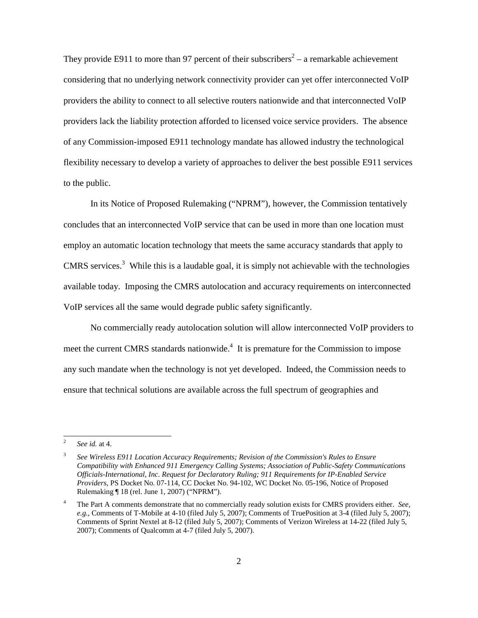They provide E911 to more than 97 percent of their subscribers<sup>2</sup> – a remarkable achievement considering that no underlying network connectivity provider can yet offer interconnected VoIP providers the ability to connect to all selective routers nationwide and that interconnected VoIP providers lack the liability protection afforded to licensed voice service providers. The absence of any Commission-imposed E911 technology mandate has allowed industry the technological flexibility necessary to develop a variety of approaches to deliver the best possible E911 services to the public.

In its Notice of Proposed Rulemaking ("NPRM"), however, the Commission tentatively concludes that an interconnected VoIP service that can be used in more than one location must employ an automatic location technology that meets the same accuracy standards that apply to CMRS services.<sup>3</sup> While this is a laudable goal, it is simply not achievable with the technologies available today. Imposing the CMRS autolocation and accuracy requirements on interconnected VoIP services all the same would degrade public safety significantly.

No commercially ready autolocation solution will allow interconnected VoIP providers to meet the current CMRS standards nationwide.<sup>4</sup> It is premature for the Commission to impose any such mandate when the technology is not yet developed. Indeed, the Commission needs to ensure that technical solutions are available across the full spectrum of geographies and

<sup>2</sup> *See id.* at 4.

<sup>3</sup> *See Wireless E911 Location Accuracy Requirements; Revision of the Commission's Rules to Ensure Compatibility with Enhanced 911 Emergency Calling Systems; Association of Public-Safety Communications Officials-International, Inc. Request for Declaratory Ruling; 911 Requirements for IP-Enabled Service Providers*, PS Docket No. 07-114, CC Docket No. 94-102, WC Docket No. 05-196, Notice of Proposed Rulemaking ¶ 18 (rel. June 1, 2007) ("NPRM").

<sup>4</sup> The Part A comments demonstrate that no commercially ready solution exists for CMRS providers either. *See, e.g.,* Comments of T-Mobile at 4-10 (filed July 5, 2007); Comments of TruePosition at 3-4 (filed July 5, 2007); Comments of Sprint Nextel at 8-12 (filed July 5, 2007); Comments of Verizon Wireless at 14-22 (filed July 5, 2007); Comments of Qualcomm at 4-7 (filed July 5, 2007).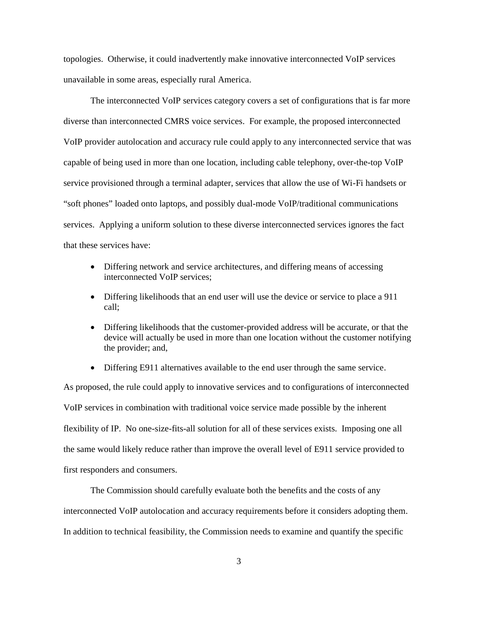topologies. Otherwise, it could inadvertently make innovative interconnected VoIP services unavailable in some areas, especially rural America.

The interconnected VoIP services category covers a set of configurations that is far more diverse than interconnected CMRS voice services. For example, the proposed interconnected VoIP provider autolocation and accuracy rule could apply to any interconnected service that was capable of being used in more than one location, including cable telephony, over-the-top VoIP service provisioned through a terminal adapter, services that allow the use of Wi-Fi handsets or "soft phones" loaded onto laptops, and possibly dual-mode VoIP/traditional communications services. Applying a uniform solution to these diverse interconnected services ignores the fact that these services have:

- Differing network and service architectures, and differing means of accessing interconnected VoIP services;
- Differing likelihoods that an end user will use the device or service to place a 911 call;
- Differing likelihoods that the customer-provided address will be accurate, or that the device will actually be used in more than one location without the customer notifying the provider; and,
- Differing E911 alternatives available to the end user through the same service.

As proposed, the rule could apply to innovative services and to configurations of interconnected VoIP services in combination with traditional voice service made possible by the inherent flexibility of IP. No one-size-fits-all solution for all of these services exists. Imposing one all the same would likely reduce rather than improve the overall level of E911 service provided to first responders and consumers.

The Commission should carefully evaluate both the benefits and the costs of any interconnected VoIP autolocation and accuracy requirements before it considers adopting them. In addition to technical feasibility, the Commission needs to examine and quantify the specific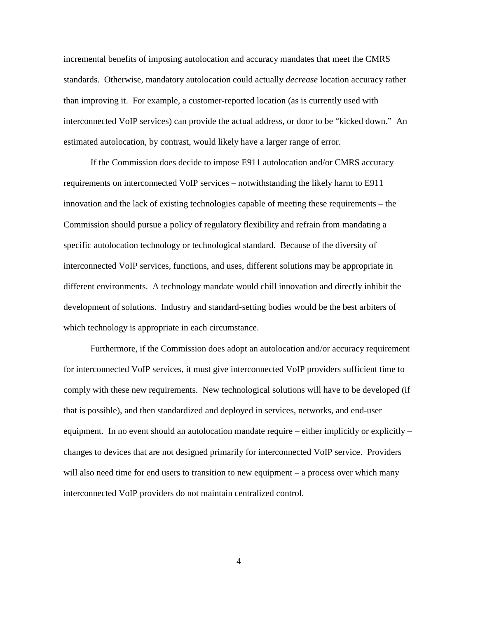incremental benefits of imposing autolocation and accuracy mandates that meet the CMRS standards. Otherwise, mandatory autolocation could actually *decrease* location accuracy rather than improving it. For example, a customer-reported location (as is currently used with interconnected VoIP services) can provide the actual address, or door to be "kicked down." An estimated autolocation, by contrast, would likely have a larger range of error.

If the Commission does decide to impose E911 autolocation and/or CMRS accuracy requirements on interconnected VoIP services – notwithstanding the likely harm to E911 innovation and the lack of existing technologies capable of meeting these requirements – the Commission should pursue a policy of regulatory flexibility and refrain from mandating a specific autolocation technology or technological standard. Because of the diversity of interconnected VoIP services, functions, and uses, different solutions may be appropriate in different environments. A technology mandate would chill innovation and directly inhibit the development of solutions. Industry and standard-setting bodies would be the best arbiters of which technology is appropriate in each circumstance.

Furthermore, if the Commission does adopt an autolocation and/or accuracy requirement for interconnected VoIP services, it must give interconnected VoIP providers sufficient time to comply with these new requirements. New technological solutions will have to be developed (if that is possible), and then standardized and deployed in services, networks, and end-user equipment. In no event should an autolocation mandate require – either implicitly or explicitly – changes to devices that are not designed primarily for interconnected VoIP service. Providers will also need time for end users to transition to new equipment – a process over which many interconnected VoIP providers do not maintain centralized control.

4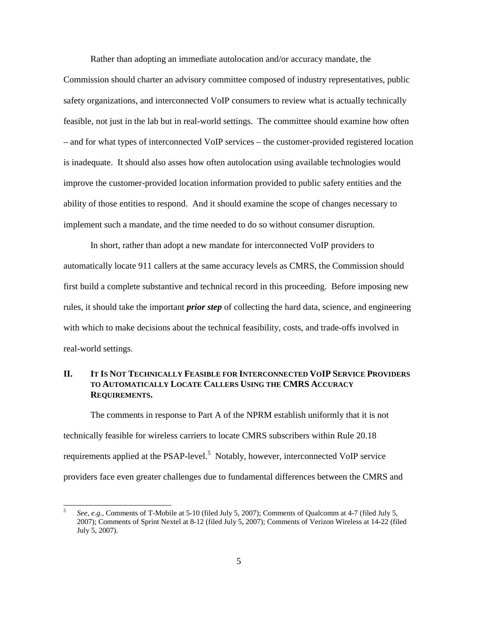Rather than adopting an immediate autolocation and/or accuracy mandate, the

Commission should charter an advisory committee composed of industry representatives, public safety organizations, and interconnected VoIP consumers to review what is actually technically feasible, not just in the lab but in real-world settings. The committee should examine how often – and for what types of interconnected VoIP services – the customer-provided registered location is inadequate. It should also asses how often autolocation using available technologies would improve the customer-provided location information provided to public safety entities and the ability of those entities to respond. And it should examine the scope of changes necessary to implement such a mandate, and the time needed to do so without consumer disruption.

In short, rather than adopt a new mandate for interconnected VoIP providers to automatically locate 911 callers at the same accuracy levels as CMRS, the Commission should first build a complete substantive and technical record in this proceeding. Before imposing new rules, it should take the important *prior step* of collecting the hard data, science, and engineering with which to make decisions about the technical feasibility, costs, and trade-offs involved in real-world settings.

## **II. IT IS NOT TECHNICALLY FEASIBLE FOR INTERCONNECTED VOIP SERVICE PROVIDERS TO AUTOMATICALLY LOCATE CALLERS USING THE CMRS ACCURACY REQUIREMENTS.**

The comments in response to Part A of the NPRM establish uniformly that it is not technically feasible for wireless carriers to locate CMRS subscribers within Rule 20.18 requirements applied at the PSAP-level.<sup>5</sup> Notably, however, interconnected VoIP service providers face even greater challenges due to fundamental differences between the CMRS and

<sup>5</sup> *See, e.g.,* Comments of T-Mobile at 5-10 (filed July 5, 2007); Comments of Qualcomm at 4-7 (filed July 5, 2007); Comments of Sprint Nextel at 8-12 (filed July 5, 2007); Comments of Verizon Wireless at 14-22 (filed July 5, 2007).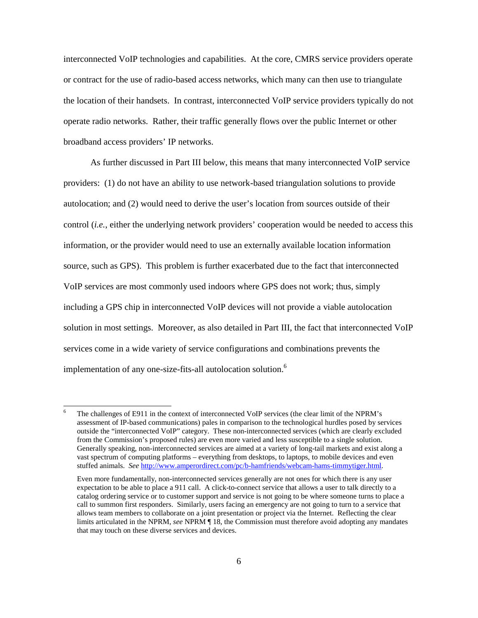interconnected VoIP technologies and capabilities. At the core, CMRS service providers operate or contract for the use of radio-based access networks, which many can then use to triangulate the location of their handsets. In contrast, interconnected VoIP service providers typically do not operate radio networks. Rather, their traffic generally flows over the public Internet or other broadband access providers' IP networks.

As further discussed in Part III below, this means that many interconnected VoIP service providers: (1) do not have an ability to use network-based triangulation solutions to provide autolocation; and (2) would need to derive the user's location from sources outside of their control (*i.e.*, either the underlying network providers' cooperation would be needed to access this information, or the provider would need to use an externally available location information source, such as GPS). This problem is further exacerbated due to the fact that interconnected VoIP services are most commonly used indoors where GPS does not work; thus, simply including a GPS chip in interconnected VoIP devices will not provide a viable autolocation solution in most settings. Moreover, as also detailed in Part III, the fact that interconnected VoIP services come in a wide variety of service configurations and combinations prevents the implementation of any one-size-fits-all autolocation solution. 6

The challenges of E911 in the context of interconnected VoIP services (the clear limit of the NPRM's assessment of IP-based communications) pales in comparison to the technological hurdles posed by services outside the "interconnected VoIP" category. These non-interconnected services (which are clearly excluded from the Commission's proposed rules) are even more varied and less susceptible to a single solution. Generally speaking, non-interconnected services are aimed at a variety of long-tail markets and exist along a vast spectrum of computing platforms – everything from desktops, to laptops, to mobile devices and even stuffed animals. *See* http://www.amperordirect.com/pc/b-hamfriends/webcam-hams-timmytiger.html.

Even more fundamentally, non-interconnected services generally are not ones for which there is any user expectation to be able to place a 911 call. A click-to-connect service that allows a user to talk directly to a catalog ordering service or to customer support and service is not going to be where someone turns to place a call to summon first responders. Similarly, users facing an emergency are not going to turn to a service that allows team members to collaborate on a joint presentation or project via the Internet. Reflecting the clear limits articulated in the NPRM, *see* NPRM ¶ 18, the Commission must therefore avoid adopting any mandates that may touch on these diverse services and devices.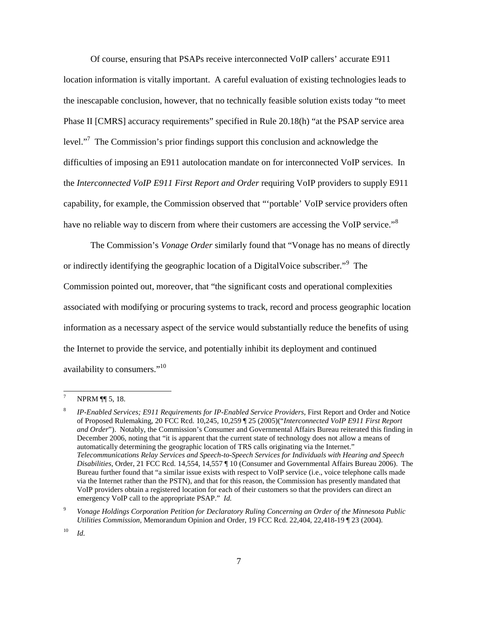Of course, ensuring that PSAPs receive interconnected VoIP callers' accurate E911 location information is vitally important. A careful evaluation of existing technologies leads to the inescapable conclusion, however, that no technically feasible solution exists today "to meet Phase II [CMRS] accuracy requirements" specified in Rule 20.18(h) "at the PSAP service area level."<sup>7</sup> The Commission's prior findings support this conclusion and acknowledge the difficulties of imposing an E911 autolocation mandate on for interconnected VoIP services. In the *Interconnected VoIP E911 First Report and Order* requiring VoIP providers to supply E911 capability, for example, the Commission observed that "'portable' VoIP service providers often have no reliable way to discern from where their customers are accessing the VoIP service."<sup>8</sup>

The Commission's *Vonage Order* similarly found that "Vonage has no means of directly or indirectly identifying the geographic location of a DigitalVoice subscriber."<sup>9</sup> The Commission pointed out, moreover, that "the significant costs and operational complexities associated with modifying or procuring systems to track, record and process geographic location information as a necessary aspect of the service would substantially reduce the benefits of using the Internet to provide the service, and potentially inhibit its deployment and continued availability to consumers."<sup>10</sup>

NPRM ¶ 5, 18.

<sup>8</sup> *IP-Enabled Services; E911 Requirements for IP-Enabled Service Providers*, First Report and Order and Notice of Proposed Rulemaking, 20 FCC Rcd. 10,245, 10,259 ¶ 25 (2005)("*Interconnected VoIP E911 First Report and Order*"). Notably, the Commission's Consumer and Governmental Affairs Bureau reiterated this finding in December 2006, noting that "it is apparent that the current state of technology does not allow a means of automatically determining the geographic location of TRS calls originating via the Internet." *Telecommunications Relay Services and Speech-to-Speech Services for Individuals with Hearing and Speech Disabilities*, Order, 21 FCC Rcd. 14,554, 14,557 ¶ 10 (Consumer and Governmental Affairs Bureau 2006). The Bureau further found that "a similar issue exists with respect to VoIP service (i.e., voice telephone calls made via the Internet rather than the PSTN), and that for this reason, the Commission has presently mandated that VoIP providers obtain a registered location for each of their customers so that the providers can direct an emergency VoIP call to the appropriate PSAP." *Id.*

<sup>9</sup> *Vonage Holdings Corporation Petition for Declaratory Ruling Concerning an Order of the Minnesota Public Utilities Commission*, Memorandum Opinion and Order, 19 FCC Rcd. 22,404, 22,418-19 ¶ 23 (2004)*.*

<sup>10</sup> *Id.*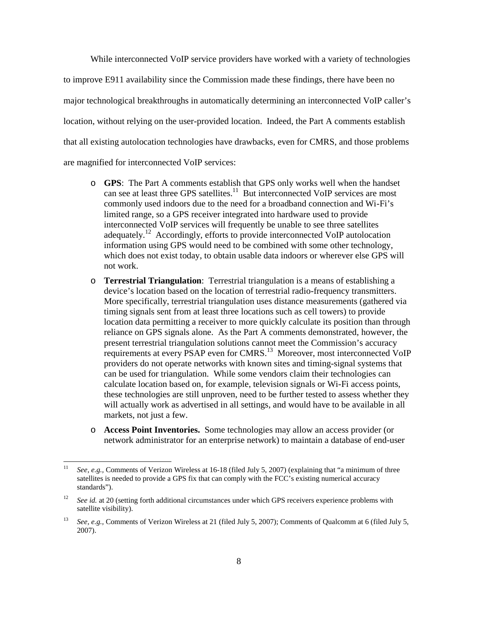While interconnected VoIP service providers have worked with a variety of technologies to improve E911 availability since the Commission made these findings, there have been no major technological breakthroughs in automatically determining an interconnected VoIP caller's location, without relying on the user-provided location. Indeed, the Part A comments establish that all existing autolocation technologies have drawbacks, even for CMRS, and those problems are magnified for interconnected VoIP services:

- o **GPS**: The Part A comments establish that GPS only works well when the handset can see at least three GPS satellites.<sup>11</sup> But interconnected VoIP services are most commonly used indoors due to the need for a broadband connection and Wi-Fi's limited range, so a GPS receiver integrated into hardware used to provide interconnected VoIP services will frequently be unable to see three satellites adequately.<sup>12</sup> Accordingly, efforts to provide interconnected VoIP autolocation information using GPS would need to be combined with some other technology, which does not exist today, to obtain usable data indoors or wherever else GPS will not work.
- o **Terrestrial Triangulation**: Terrestrial triangulation is a means of establishing a device's location based on the location of terrestrial radio-frequency transmitters. More specifically, terrestrial triangulation uses distance measurements (gathered via timing signals sent from at least three locations such as cell towers) to provide location data permitting a receiver to more quickly calculate its position than through reliance on GPS signals alone. As the Part A comments demonstrated, however, the present terrestrial triangulation solutions cannot meet the Commission's accuracy requirements at every PSAP even for CMRS.<sup>13</sup> Moreover, most interconnected VoIP providers do not operate networks with known sites and timing-signal systems that can be used for triangulation. While some vendors claim their technologies can calculate location based on, for example, television signals or Wi-Fi access points, these technologies are still unproven, need to be further tested to assess whether they will actually work as advertised in all settings, and would have to be available in all markets, not just a few.
- o **Access Point Inventories.** Some technologies may allow an access provider (or network administrator for an enterprise network) to maintain a database of end-user

<sup>&</sup>lt;sup>11</sup> *See, e.g.,* Comments of Verizon Wireless at 16-18 (filed July 5, 2007) (explaining that "a minimum of three satellites is needed to provide a GPS fix that can comply with the FCC's existing numerical accuracy standards").

<sup>&</sup>lt;sup>12</sup> *See id.* at 20 (setting forth additional circumstances under which GPS receivers experience problems with satellite visibility).

<sup>13</sup> *See, e.g.,* Comments of Verizon Wireless at 21 (filed July 5, 2007); Comments of Qualcomm at 6 (filed July 5, 2007).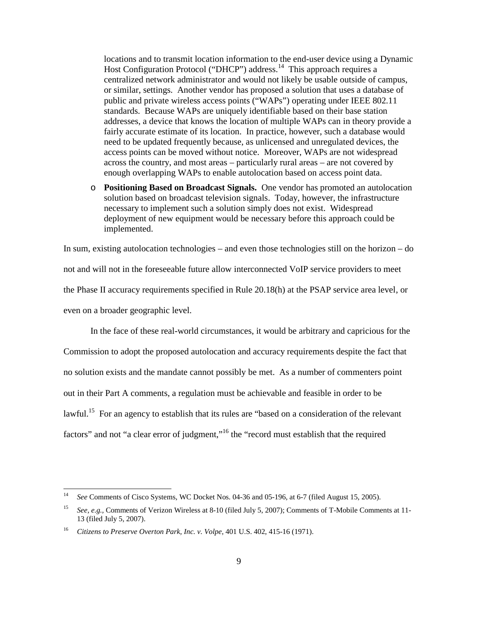locations and to transmit location information to the end-user device using a Dynamic Host Configuration Protocol ("DHCP") address.<sup>14</sup> This approach requires a centralized network administrator and would not likely be usable outside of campus, or similar, settings. Another vendor has proposed a solution that uses a database of public and private wireless access points ("WAPs") operating under IEEE 802.11 standards. Because WAPs are uniquely identifiable based on their base station addresses, a device that knows the location of multiple WAPs can in theory provide a fairly accurate estimate of its location. In practice, however, such a database would need to be updated frequently because, as unlicensed and unregulated devices, the access points can be moved without notice. Moreover, WAPs are not widespread across the country, and most areas – particularly rural areas – are not covered by enough overlapping WAPs to enable autolocation based on access point data.

o **Positioning Based on Broadcast Signals.** One vendor has promoted an autolocation solution based on broadcast television signals. Today, however, the infrastructure necessary to implement such a solution simply does not exist. Widespread deployment of new equipment would be necessary before this approach could be implemented.

In sum, existing autolocation technologies – and even those technologies still on the horizon – do not and will not in the foreseeable future allow interconnected VoIP service providers to meet the Phase II accuracy requirements specified in Rule 20.18(h) at the PSAP service area level, or even on a broader geographic level.

In the face of these real-world circumstances, it would be arbitrary and capricious for the Commission to adopt the proposed autolocation and accuracy requirements despite the fact that no solution exists and the mandate cannot possibly be met. As a number of commenters point out in their Part A comments, a regulation must be achievable and feasible in order to be lawful.<sup>15</sup> For an agency to establish that its rules are "based on a consideration of the relevant factors" and not "a clear error of judgment,"<sup>16</sup> the "record must establish that the required

<sup>14</sup> *See* Comments of Cisco Systems, WC Docket Nos. 04-36 and 05-196, at 6-7 (filed August 15, 2005).

<sup>15</sup> *See, e.g.,* Comments of Verizon Wireless at 8-10 (filed July 5, 2007); Comments of T-Mobile Comments at 11- 13 (filed July 5, 2007).

<sup>16</sup> *Citizens to Preserve Overton Park, Inc. v. Volpe*, 401 U.S. 402, 415-16 (1971).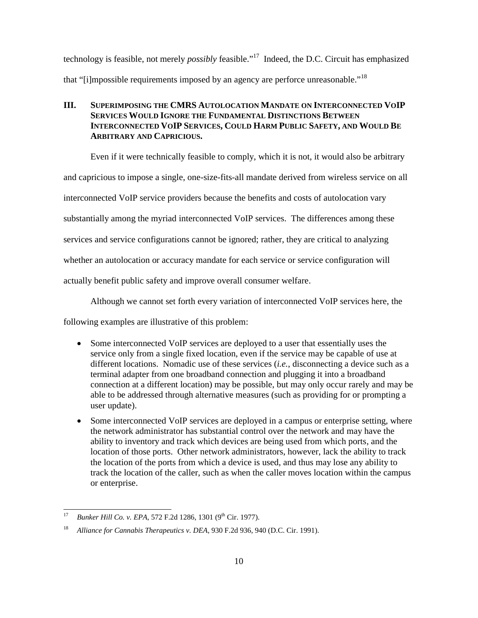technology is feasible, not merely *possibly* feasible."<sup>17</sup> Indeed, the D.C. Circuit has emphasized that "[i]mpossible requirements imposed by an agency are perforce unreasonable."<sup>18</sup>

# **III. SUPERIMPOSING THE CMRS AUTOLOCATION MANDATE ON INTERCONNECTED VOIP SERVICES WOULD IGNORE THE FUNDAMENTAL DISTINCTIONS BETWEEN INTERCONNECTED VOIP SERVICES, COULD HARM PUBLIC SAFETY, AND WOULD BE ARBITRARY AND CAPRICIOUS.**

Even if it were technically feasible to comply, which it is not, it would also be arbitrary

and capricious to impose a single, one-size-fits-all mandate derived from wireless service on all

interconnected VoIP service providers because the benefits and costs of autolocation vary

substantially among the myriad interconnected VoIP services. The differences among these

services and service configurations cannot be ignored; rather, they are critical to analyzing

whether an autolocation or accuracy mandate for each service or service configuration will

actually benefit public safety and improve overall consumer welfare.

Although we cannot set forth every variation of interconnected VoIP services here, the

following examples are illustrative of this problem:

- Some interconnected VoIP services are deployed to a user that essentially uses the service only from a single fixed location, even if the service may be capable of use at different locations. Nomadic use of these services (*i.e.*, disconnecting a device such as a terminal adapter from one broadband connection and plugging it into a broadband connection at a different location) may be possible, but may only occur rarely and may be able to be addressed through alternative measures (such as providing for or prompting a user update).
- Some interconnected VoIP services are deployed in a campus or enterprise setting, where the network administrator has substantial control over the network and may have the ability to inventory and track which devices are being used from which ports, and the location of those ports. Other network administrators, however, lack the ability to track the location of the ports from which a device is used, and thus may lose any ability to track the location of the caller, such as when the caller moves location within the campus or enterprise.

<sup>&</sup>lt;sup>17</sup> *Bunker Hill Co. v. EPA, 572 F.2d 1286, 1301 (9<sup>th</sup> Cir. 1977).* 

<sup>18</sup> *Alliance for Cannabis Therapeutics v. DEA*, 930 F.2d 936, 940 (D.C. Cir. 1991).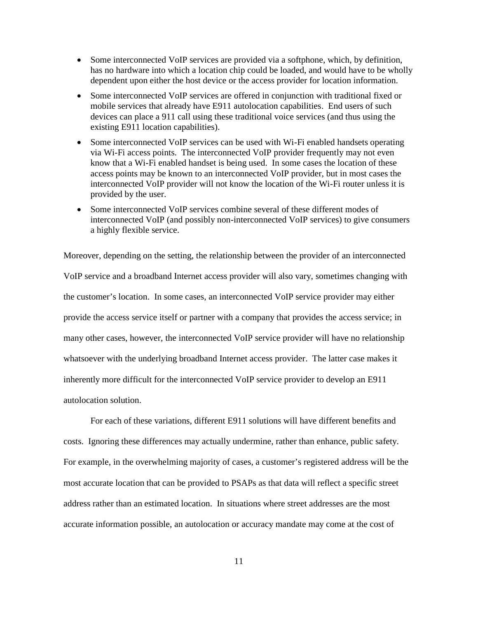- Some interconnected VoIP services are provided via a softphone, which, by definition, has no hardware into which a location chip could be loaded, and would have to be wholly dependent upon either the host device or the access provider for location information.
- Some interconnected VoIP services are offered in conjunction with traditional fixed or mobile services that already have E911 autolocation capabilities. End users of such devices can place a 911 call using these traditional voice services (and thus using the existing E911 location capabilities).
- Some interconnected VoIP services can be used with Wi-Fi enabled handsets operating via Wi-Fi access points. The interconnected VoIP provider frequently may not even know that a Wi-Fi enabled handset is being used. In some cases the location of these access points may be known to an interconnected VoIP provider, but in most cases the interconnected VoIP provider will not know the location of the Wi-Fi router unless it is provided by the user.
- Some interconnected VoIP services combine several of these different modes of interconnected VoIP (and possibly non-interconnected VoIP services) to give consumers a highly flexible service.

Moreover, depending on the setting, the relationship between the provider of an interconnected VoIP service and a broadband Internet access provider will also vary, sometimes changing with the customer's location. In some cases, an interconnected VoIP service provider may either provide the access service itself or partner with a company that provides the access service; in many other cases, however, the interconnected VoIP service provider will have no relationship whatsoever with the underlying broadband Internet access provider. The latter case makes it inherently more difficult for the interconnected VoIP service provider to develop an E911 autolocation solution.

For each of these variations, different E911 solutions will have different benefits and costs. Ignoring these differences may actually undermine, rather than enhance, public safety. For example, in the overwhelming majority of cases, a customer's registered address will be the most accurate location that can be provided to PSAPs as that data will reflect a specific street address rather than an estimated location. In situations where street addresses are the most accurate information possible, an autolocation or accuracy mandate may come at the cost of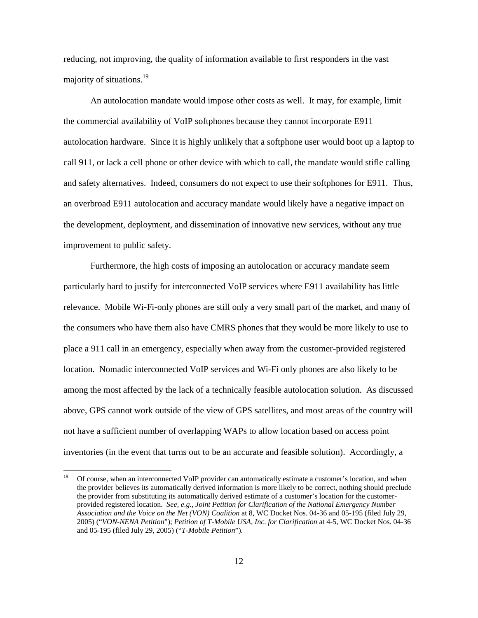reducing, not improving, the quality of information available to first responders in the vast majority of situations.<sup>19</sup>

An autolocation mandate would impose other costs as well. It may, for example, limit the commercial availability of VoIP softphones because they cannot incorporate E911 autolocation hardware. Since it is highly unlikely that a softphone user would boot up a laptop to call 911, or lack a cell phone or other device with which to call, the mandate would stifle calling and safety alternatives. Indeed, consumers do not expect to use their softphones for E911. Thus, an overbroad E911 autolocation and accuracy mandate would likely have a negative impact on the development, deployment, and dissemination of innovative new services, without any true improvement to public safety.

Furthermore, the high costs of imposing an autolocation or accuracy mandate seem particularly hard to justify for interconnected VoIP services where E911 availability has little relevance. Mobile Wi-Fi-only phones are still only a very small part of the market, and many of the consumers who have them also have CMRS phones that they would be more likely to use to place a 911 call in an emergency, especially when away from the customer-provided registered location. Nomadic interconnected VoIP services and Wi-Fi only phones are also likely to be among the most affected by the lack of a technically feasible autolocation solution. As discussed above, GPS cannot work outside of the view of GPS satellites, and most areas of the country will not have a sufficient number of overlapping WAPs to allow location based on access point inventories (in the event that turns out to be an accurate and feasible solution). Accordingly, a

<sup>&</sup>lt;sup>19</sup> Of course, when an interconnected VoIP provider can automatically estimate a customer's location, and when the provider believes its automatically derived information is more likely to be correct, nothing should preclude the provider from substituting its automatically derived estimate of a customer's location for the customerprovided registered location. *See, e.g., Joint Petition for Clarification of the National Emergency Number Association and the Voice on the Net (VON) Coalition* at 8, WC Docket Nos. 04-36 and 05-195 (filed July 29, 2005) ("*VON-NENA Petition*"); *Petition of T-Mobile USA, Inc. for Clarification* at 4-5, WC Docket Nos. 04-36 and 05-195 (filed July 29, 2005) ("*T-Mobile Petition*").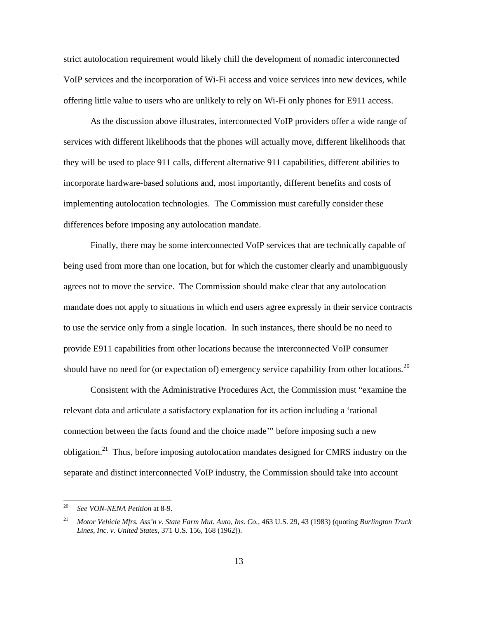strict autolocation requirement would likely chill the development of nomadic interconnected VoIP services and the incorporation of Wi-Fi access and voice services into new devices, while offering little value to users who are unlikely to rely on Wi-Fi only phones for E911 access.

As the discussion above illustrates, interconnected VoIP providers offer a wide range of services with different likelihoods that the phones will actually move, different likelihoods that they will be used to place 911 calls, different alternative 911 capabilities, different abilities to incorporate hardware-based solutions and, most importantly, different benefits and costs of implementing autolocation technologies. The Commission must carefully consider these differences before imposing any autolocation mandate.

Finally, there may be some interconnected VoIP services that are technically capable of being used from more than one location, but for which the customer clearly and unambiguously agrees not to move the service. The Commission should make clear that any autolocation mandate does not apply to situations in which end users agree expressly in their service contracts to use the service only from a single location. In such instances, there should be no need to provide E911 capabilities from other locations because the interconnected VoIP consumer should have no need for (or expectation of) emergency service capability from other locations.<sup>20</sup>

Consistent with the Administrative Procedures Act, the Commission must "examine the relevant data and articulate a satisfactory explanation for its action including a 'rational connection between the facts found and the choice made'" before imposing such a new obligation.<sup>21</sup> Thus, before imposing autolocation mandates designed for CMRS industry on the separate and distinct interconnected VoIP industry, the Commission should take into account

<sup>20</sup> *See VON-NENA Petition* at 8-9.

<sup>21</sup> *Motor Vehicle Mfrs. Ass'n v. State Farm Mut. Auto, Ins. Co.*, 463 U.S. 29, 43 (1983) (quoting *Burlington Truck Lines, Inc. v. United States*, 371 U.S. 156, 168 (1962)).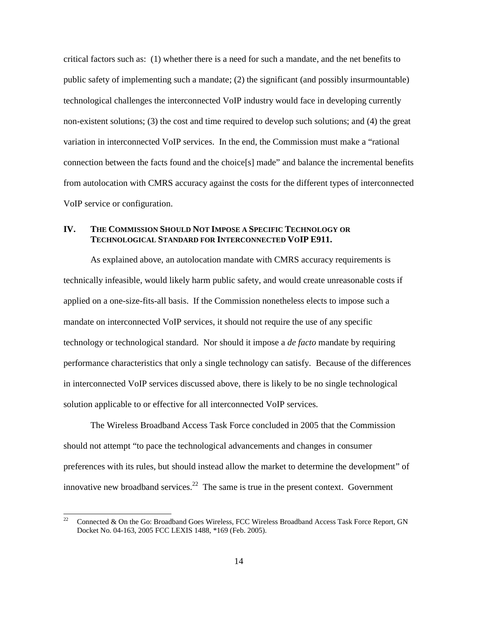critical factors such as: (1) whether there is a need for such a mandate, and the net benefits to public safety of implementing such a mandate; (2) the significant (and possibly insurmountable) technological challenges the interconnected VoIP industry would face in developing currently non-existent solutions; (3) the cost and time required to develop such solutions; and (4) the great variation in interconnected VoIP services. In the end, the Commission must make a "rational connection between the facts found and the choice[s] made" and balance the incremental benefits from autolocation with CMRS accuracy against the costs for the different types of interconnected VoIP service or configuration.

#### **IV. THE COMMISSION SHOULD NOT IMPOSE A SPECIFIC TECHNOLOGY OR TECHNOLOGICAL STANDARD FOR INTERCONNECTED VOIP E911.**

As explained above, an autolocation mandate with CMRS accuracy requirements is technically infeasible, would likely harm public safety, and would create unreasonable costs if applied on a one-size-fits-all basis. If the Commission nonetheless elects to impose such a mandate on interconnected VoIP services, it should not require the use of any specific technology or technological standard. Nor should it impose a *de facto* mandate by requiring performance characteristics that only a single technology can satisfy. Because of the differences in interconnected VoIP services discussed above, there is likely to be no single technological solution applicable to or effective for all interconnected VoIP services.

The Wireless Broadband Access Task Force concluded in 2005 that the Commission should not attempt "to pace the technological advancements and changes in consumer preferences with its rules, but should instead allow the market to determine the development" of innovative new broadband services.<sup>22</sup> The same is true in the present context. Government

<sup>&</sup>lt;sup>22</sup> Connected & On the Go: Broadband Goes Wireless, FCC Wireless Broadband Access Task Force Report, GN Docket No. 04-163, 2005 FCC LEXIS 1488, \*169 (Feb. 2005).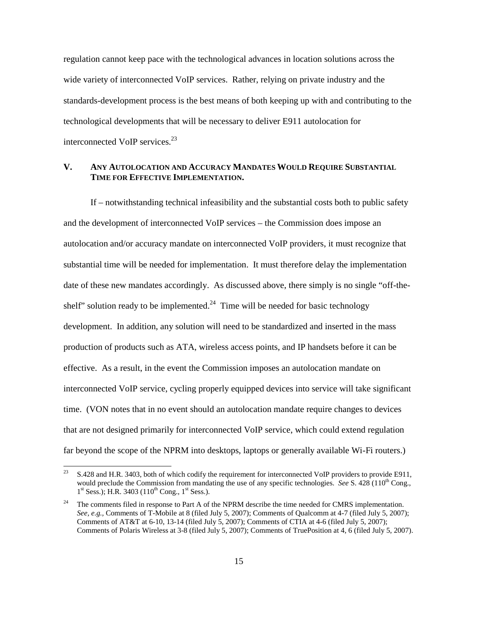regulation cannot keep pace with the technological advances in location solutions across the wide variety of interconnected VoIP services. Rather, relying on private industry and the standards-development process is the best means of both keeping up with and contributing to the technological developments that will be necessary to deliver E911 autolocation for interconnected VoIP services.<sup>23</sup>

#### **V. ANY AUTOLOCATION AND ACCURACY MANDATES WOULD REQUIRE SUBSTANTIAL TIME FOR EFFECTIVE IMPLEMENTATION.**

If – notwithstanding technical infeasibility and the substantial costs both to public safety and the development of interconnected VoIP services – the Commission does impose an autolocation and/or accuracy mandate on interconnected VoIP providers, it must recognize that substantial time will be needed for implementation. It must therefore delay the implementation date of these new mandates accordingly. As discussed above, there simply is no single "off-theshelf" solution ready to be implemented.<sup>24</sup> Time will be needed for basic technology development. In addition, any solution will need to be standardized and inserted in the mass production of products such as ATA, wireless access points, and IP handsets before it can be effective. As a result, in the event the Commission imposes an autolocation mandate on interconnected VoIP service, cycling properly equipped devices into service will take significant time. (VON notes that in no event should an autolocation mandate require changes to devices that are not designed primarily for interconnected VoIP service, which could extend regulation far beyond the scope of the NPRM into desktops, laptops or generally available Wi-Fi routers.)

<sup>&</sup>lt;sup>23</sup> S.428 and H.R. 3403, both of which codify the requirement for interconnected VoIP providers to provide E911, would preclude the Commission from mandating the use of any specific technologies. *See* S. 428 (110<sup>th</sup> Cong., 1<sup>st</sup> Sess.); H.R. 3403 (110<sup>th</sup> Cong., 1<sup>st</sup> Sess.).

The comments filed in response to Part A of the NPRM describe the time needed for CMRS implementation. *See, e.g.,* Comments of T-Mobile at 8 (filed July 5, 2007); Comments of Qualcomm at 4-7 (filed July 5, 2007); Comments of AT&T at 6-10, 13-14 (filed July 5, 2007); Comments of CTIA at 4-6 (filed July 5, 2007); Comments of Polaris Wireless at 3-8 (filed July 5, 2007); Comments of TruePosition at 4, 6 (filed July 5, 2007).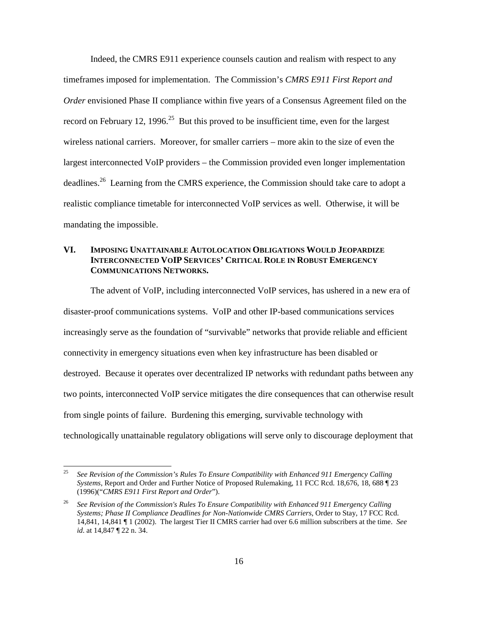Indeed, the CMRS E911 experience counsels caution and realism with respect to any timeframes imposed for implementation. The Commission's *CMRS E911 First Report and Order* envisioned Phase II compliance within five years of a Consensus Agreement filed on the record on February 12, 1996.<sup>25</sup> But this proved to be insufficient time, even for the largest wireless national carriers. Moreover, for smaller carriers – more akin to the size of even the largest interconnected VoIP providers – the Commission provided even longer implementation deadlines.<sup>26</sup> Learning from the CMRS experience, the Commission should take care to adopt a realistic compliance timetable for interconnected VoIP services as well. Otherwise, it will be mandating the impossible.

# **VI. IMPOSING UNATTAINABLE AUTOLOCATION OBLIGATIONS WOULD JEOPARDIZE INTERCONNECTED VOIP SERVICES' CRITICAL ROLE IN ROBUST EMERGENCY COMMUNICATIONS NETWORKS.**

The advent of VoIP, including interconnected VoIP services, has ushered in a new era of disaster-proof communications systems. VoIP and other IP-based communications services increasingly serve as the foundation of "survivable" networks that provide reliable and efficient connectivity in emergency situations even when key infrastructure has been disabled or destroyed. Because it operates over decentralized IP networks with redundant paths between any two points, interconnected VoIP service mitigates the dire consequences that can otherwise result from single points of failure. Burdening this emerging, survivable technology with technologically unattainable regulatory obligations will serve only to discourage deployment that

<sup>25</sup> *See Revision of the Commission's Rules To Ensure Compatibility with Enhanced 911 Emergency Calling Systems*, Report and Order and Further Notice of Proposed Rulemaking, 11 FCC Rcd. 18,676, 18, 688 ¶ 23 (1996)("*CMRS E911 First Report and Order*").

<sup>26</sup> *See Revision of the Commission's Rules To Ensure Compatibility with Enhanced 911 Emergency Calling Systems; Phase II Compliance Deadlines for Non-Nationwide CMRS Carriers*, Order to Stay, 17 FCC Rcd. 14,841, 14,841 ¶ 1 (2002). The largest Tier II CMRS carrier had over 6.6 million subscribers at the time. *See id*. at 14,847 ¶ 22 n. 34.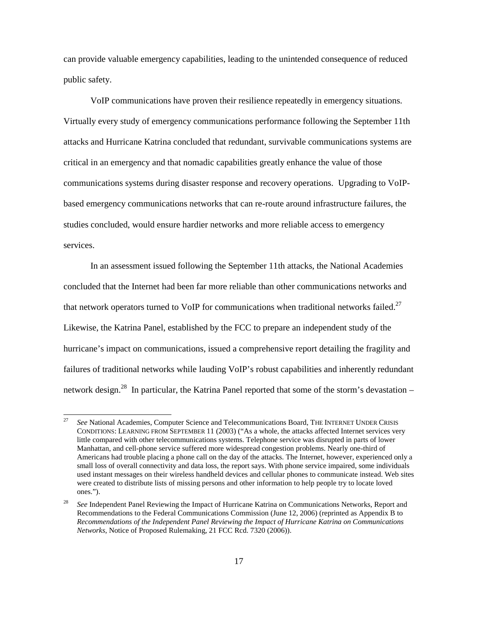can provide valuable emergency capabilities, leading to the unintended consequence of reduced public safety.

VoIP communications have proven their resilience repeatedly in emergency situations. Virtually every study of emergency communications performance following the September 11th attacks and Hurricane Katrina concluded that redundant, survivable communications systems are critical in an emergency and that nomadic capabilities greatly enhance the value of those communications systems during disaster response and recovery operations. Upgrading to VoIPbased emergency communications networks that can re-route around infrastructure failures, the studies concluded, would ensure hardier networks and more reliable access to emergency services.

In an assessment issued following the September 11th attacks, the National Academies concluded that the Internet had been far more reliable than other communications networks and that network operators turned to VoIP for communications when traditional networks failed.<sup>27</sup> Likewise, the Katrina Panel, established by the FCC to prepare an independent study of the hurricane's impact on communications, issued a comprehensive report detailing the fragility and failures of traditional networks while lauding VoIP's robust capabilities and inherently redundant network design.<sup>28</sup> In particular, the Katrina Panel reported that some of the storm's devastation –

<sup>&</sup>lt;sup>27</sup> *See* National Academies, Computer Science and Telecommunications Board, THE INTERNET UNDER CRISIS CONDITIONS: LEARNING FROM SEPTEMBER 11 (2003) ("As a whole, the attacks affected Internet services very little compared with other telecommunications systems. Telephone service was disrupted in parts of lower Manhattan, and cell-phone service suffered more widespread congestion problems. Nearly one-third of Americans had trouble placing a phone call on the day of the attacks. The Internet, however, experienced only a small loss of overall connectivity and data loss, the report says. With phone service impaired, some individuals used instant messages on their wireless handheld devices and cellular phones to communicate instead. Web sites were created to distribute lists of missing persons and other information to help people try to locate loved ones.").

<sup>28</sup> *See* Independent Panel Reviewing the Impact of Hurricane Katrina on Communications Networks, Report and Recommendations to the Federal Communications Commission (June 12, 2006) (reprinted as Appendix B to *Recommendations of the Independent Panel Reviewing the Impact of Hurricane Katrina on Communications Networks*, Notice of Proposed Rulemaking, 21 FCC Rcd. 7320 (2006)).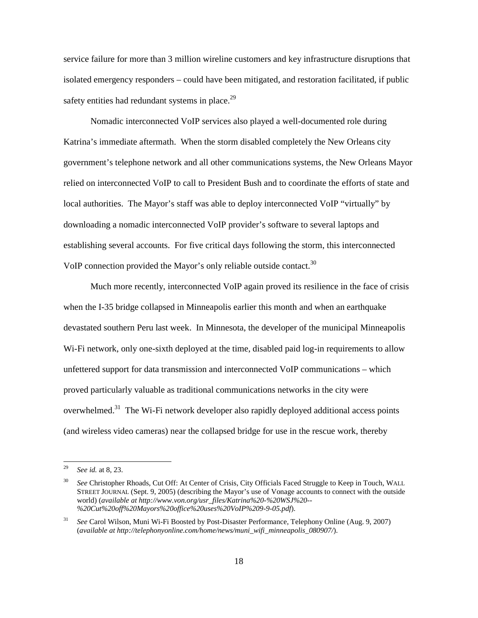service failure for more than 3 million wireline customers and key infrastructure disruptions that isolated emergency responders – could have been mitigated, and restoration facilitated, if public safety entities had redundant systems in place. $^{29}$ 

Nomadic interconnected VoIP services also played a well-documented role during Katrina's immediate aftermath. When the storm disabled completely the New Orleans city government's telephone network and all other communications systems, the New Orleans Mayor relied on interconnected VoIP to call to President Bush and to coordinate the efforts of state and local authorities. The Mayor's staff was able to deploy interconnected VoIP "virtually" by downloading a nomadic interconnected VoIP provider's software to several laptops and establishing several accounts. For five critical days following the storm, this interconnected VoIP connection provided the Mayor's only reliable outside contact.<sup>30</sup>

Much more recently, interconnected VoIP again proved its resilience in the face of crisis when the I-35 bridge collapsed in Minneapolis earlier this month and when an earthquake devastated southern Peru last week. In Minnesota, the developer of the municipal Minneapolis Wi-Fi network, only one-sixth deployed at the time, disabled paid log-in requirements to allow unfettered support for data transmission and interconnected VoIP communications – which proved particularly valuable as traditional communications networks in the city were overwhelmed.<sup>31</sup> The Wi-Fi network developer also rapidly deployed additional access points (and wireless video cameras) near the collapsed bridge for use in the rescue work, thereby

<sup>29</sup> *See id.* at 8, 23.

<sup>30</sup> *See* Christopher Rhoads, Cut Off: At Center of Crisis, City Officials Faced Struggle to Keep in Touch, WALL STREET JOURNAL (Sept. 9, 2005) (describing the Mayor's use of Vonage accounts to connect with the outside world) (*available at http://www.von.org/usr\_files/Katrina%20-%20WSJ%20-- %20Cut%20off%20Mayors%20office%20uses%20VoIP%209-9-05.pdf*).

<sup>31</sup> *See* Carol Wilson, Muni Wi-Fi Boosted by Post-Disaster Performance, Telephony Online (Aug. 9, 2007) (*available at http://telephonyonline.com/home/news/muni\_wifi\_minneapolis\_080907/*).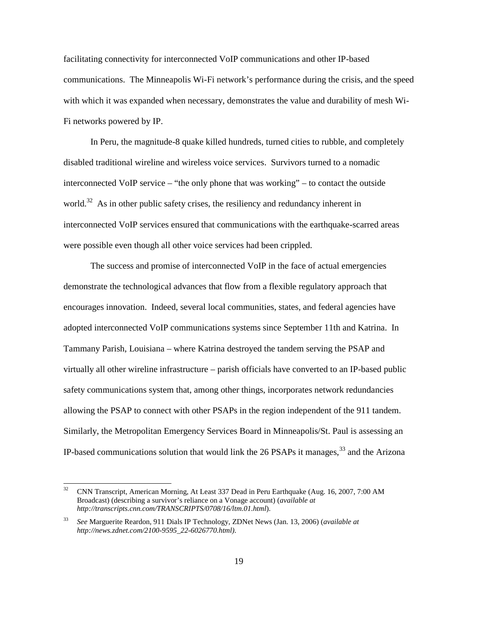facilitating connectivity for interconnected VoIP communications and other IP-based communications. The Minneapolis Wi-Fi network's performance during the crisis, and the speed with which it was expanded when necessary, demonstrates the value and durability of mesh Wi-Fi networks powered by IP.

In Peru, the magnitude-8 quake killed hundreds, turned cities to rubble, and completely disabled traditional wireline and wireless voice services. Survivors turned to a nomadic interconnected VoIP service – "the only phone that was working" – to contact the outside world.<sup>32</sup> As in other public safety crises, the resiliency and redundancy inherent in interconnected VoIP services ensured that communications with the earthquake-scarred areas were possible even though all other voice services had been crippled.

The success and promise of interconnected VoIP in the face of actual emergencies demonstrate the technological advances that flow from a flexible regulatory approach that encourages innovation. Indeed, several local communities, states, and federal agencies have adopted interconnected VoIP communications systems since September 11th and Katrina. In Tammany Parish, Louisiana – where Katrina destroyed the tandem serving the PSAP and virtually all other wireline infrastructure – parish officials have converted to an IP-based public safety communications system that, among other things, incorporates network redundancies allowing the PSAP to connect with other PSAPs in the region independent of the 911 tandem. Similarly, the Metropolitan Emergency Services Board in Minneapolis/St. Paul is assessing an IP-based communications solution that would link the 26 PSAPs it manages,  $33$  and the Arizona

<sup>&</sup>lt;sup>32</sup> CNN Transcript, American Morning, At Least 337 Dead in Peru Earthquake (Aug. 16, 2007, 7:00 AM Broadcast) (describing a survivor's reliance on a Vonage account) (*available at http://transcripts.cnn.com/TRANSCRIPTS/0708/16/ltm.01.html*).

<sup>33</sup> *See* Marguerite Reardon, 911 Dials IP Technology, ZDNet News (Jan. 13, 2006) (*available at http://news.zdnet.com/2100-9595\_22-6026770.html).*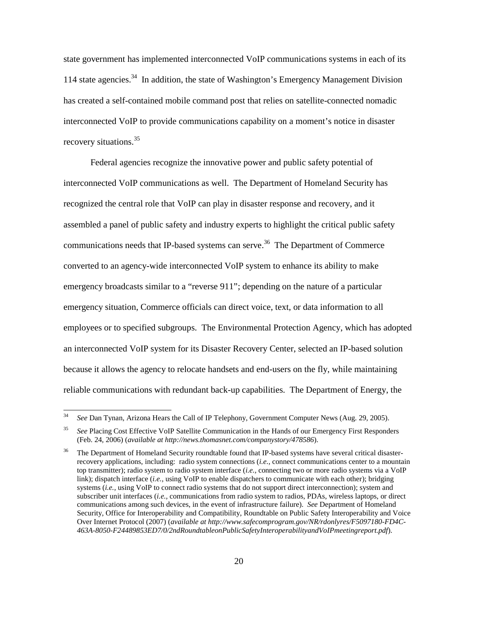state government has implemented interconnected VoIP communications systems in each of its 114 state agencies.<sup>34</sup> In addition, the state of Washington's Emergency Management Division has created a self-contained mobile command post that relies on satellite-connected nomadic interconnected VoIP to provide communications capability on a moment's notice in disaster recovery situations.<sup>35</sup>

Federal agencies recognize the innovative power and public safety potential of interconnected VoIP communications as well. The Department of Homeland Security has recognized the central role that VoIP can play in disaster response and recovery, and it assembled a panel of public safety and industry experts to highlight the critical public safety communications needs that IP-based systems can serve.<sup>36</sup> The Department of Commerce converted to an agency-wide interconnected VoIP system to enhance its ability to make emergency broadcasts similar to a "reverse 911"; depending on the nature of a particular emergency situation, Commerce officials can direct voice, text, or data information to all employees or to specified subgroups. The Environmental Protection Agency, which has adopted an interconnected VoIP system for its Disaster Recovery Center, selected an IP-based solution because it allows the agency to relocate handsets and end-users on the fly, while maintaining reliable communications with redundant back-up capabilities. The Department of Energy, the

<sup>34</sup> *See* Dan Tynan, Arizona Hears the Call of IP Telephony, Government Computer News (Aug. 29, 2005).

<sup>35</sup> *See* Placing Cost Effective VoIP Satellite Communication in the Hands of our Emergency First Responders (Feb. 24, 2006) (*available at http://news.thomasnet.com/companystory/478586*).

<sup>36</sup> The Department of Homeland Security roundtable found that IP-based systems have several critical disasterrecovery applications, including: radio system connections (*i.e.,* connect communications center to a mountain top transmitter); radio system to radio system interface (*i.e.,* connecting two or more radio systems via a VoIP link); dispatch interface (*i.e.*, using VoIP to enable dispatchers to communicate with each other); bridging systems (*i.e.,* using VoIP to connect radio systems that do not support direct interconnection); system and subscriber unit interfaces (*i.e.,* communications from radio system to radios, PDAs, wireless laptops, or direct communications among such devices, in the event of infrastructure failure). *See* Department of Homeland Security, Office for Interoperability and Compatibility, Roundtable on Public Safety Interoperability and Voice Over Internet Protocol (2007) (*available at http://www.safecomprogram.gov/NR/rdonlyres/F5097180-FD4C-463A-8050-F24489853ED7/0/2ndRoundtableonPublicSafetyInteroperabilityandVoIPmeetingreport.pdf*).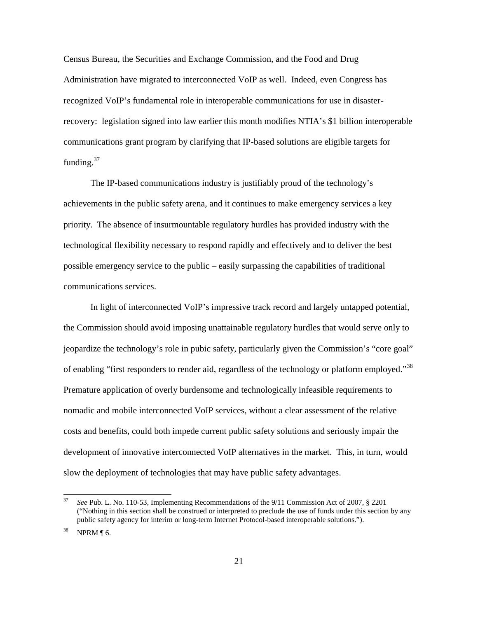Census Bureau, the Securities and Exchange Commission, and the Food and Drug Administration have migrated to interconnected VoIP as well. Indeed, even Congress has recognized VoIP's fundamental role in interoperable communications for use in disasterrecovery: legislation signed into law earlier this month modifies NTIA's \$1 billion interoperable communications grant program by clarifying that IP-based solutions are eligible targets for funding. $37$ 

The IP-based communications industry is justifiably proud of the technology's achievements in the public safety arena, and it continues to make emergency services a key priority. The absence of insurmountable regulatory hurdles has provided industry with the technological flexibility necessary to respond rapidly and effectively and to deliver the best possible emergency service to the public – easily surpassing the capabilities of traditional communications services.

In light of interconnected VoIP's impressive track record and largely untapped potential, the Commission should avoid imposing unattainable regulatory hurdles that would serve only to jeopardize the technology's role in pubic safety, particularly given the Commission's "core goal" of enabling "first responders to render aid, regardless of the technology or platform employed."<sup>38</sup> Premature application of overly burdensome and technologically infeasible requirements to nomadic and mobile interconnected VoIP services, without a clear assessment of the relative costs and benefits, could both impede current public safety solutions and seriously impair the development of innovative interconnected VoIP alternatives in the market. This, in turn, would slow the deployment of technologies that may have public safety advantages.

<sup>37</sup> *See* Pub. L. No. 110-53, Implementing Recommendations of the 9/11 Commission Act of 2007, § 2201 ("Nothing in this section shall be construed or interpreted to preclude the use of funds under this section by any public safety agency for interim or long-term Internet Protocol-based interoperable solutions.").

 $38$  NPRM [6.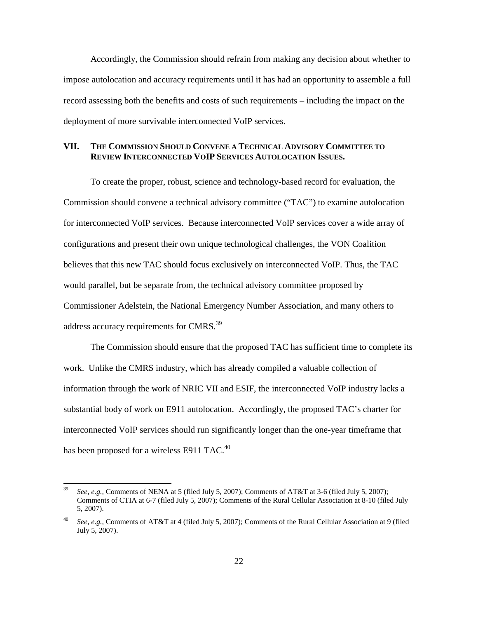Accordingly, the Commission should refrain from making any decision about whether to impose autolocation and accuracy requirements until it has had an opportunity to assemble a full record assessing both the benefits and costs of such requirements – including the impact on the deployment of more survivable interconnected VoIP services.

# **VII. THE COMMISSION SHOULD CONVENE A TECHNICAL ADVISORY COMMITTEE TO REVIEW INTERCONNECTED VOIP SERVICES AUTOLOCATION ISSUES.**

To create the proper, robust, science and technology-based record for evaluation, the Commission should convene a technical advisory committee ("TAC") to examine autolocation for interconnected VoIP services. Because interconnected VoIP services cover a wide array of configurations and present their own unique technological challenges, the VON Coalition believes that this new TAC should focus exclusively on interconnected VoIP. Thus, the TAC would parallel, but be separate from, the technical advisory committee proposed by Commissioner Adelstein, the National Emergency Number Association, and many others to address accuracy requirements for CMRS.<sup>39</sup>

The Commission should ensure that the proposed TAC has sufficient time to complete its work. Unlike the CMRS industry, which has already compiled a valuable collection of information through the work of NRIC VII and ESIF, the interconnected VoIP industry lacks a substantial body of work on E911 autolocation. Accordingly, the proposed TAC's charter for interconnected VoIP services should run significantly longer than the one-year timeframe that has been proposed for a wireless E911 TAC.<sup>40</sup>

<sup>39</sup> *See, e.g.,* Comments of NENA at 5 (filed July 5, 2007); Comments of AT&T at 3-6 (filed July 5, 2007); Comments of CTIA at 6-7 (filed July 5, 2007); Comments of the Rural Cellular Association at 8-10 (filed July 5, 2007).

<sup>40</sup> *See, e.g.,* Comments of AT&T at 4 (filed July 5, 2007); Comments of the Rural Cellular Association at 9 (filed July 5, 2007).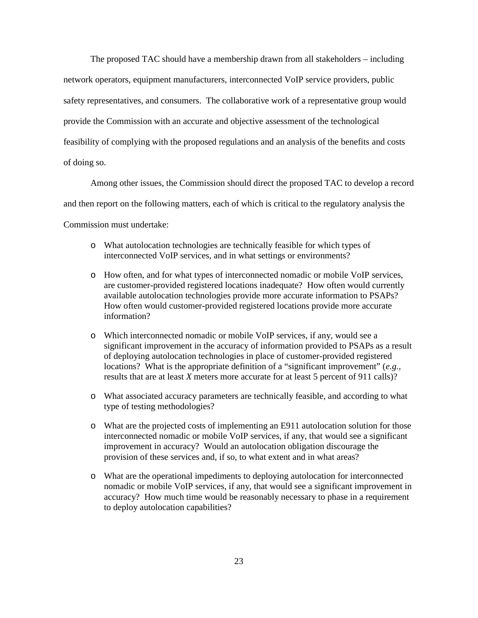The proposed TAC should have a membership drawn from all stakeholders – including network operators, equipment manufacturers, interconnected VoIP service providers, public safety representatives, and consumers. The collaborative work of a representative group would provide the Commission with an accurate and objective assessment of the technological feasibility of complying with the proposed regulations and an analysis of the benefits and costs of doing so.

Among other issues, the Commission should direct the proposed TAC to develop a record and then report on the following matters, each of which is critical to the regulatory analysis the Commission must undertake:

- o What autolocation technologies are technically feasible for which types of interconnected VoIP services, and in what settings or environments?
- o How often, and for what types of interconnected nomadic or mobile VoIP services, are customer-provided registered locations inadequate? How often would currently available autolocation technologies provide more accurate information to PSAPs? How often would customer-provided registered locations provide more accurate information?
- o Which interconnected nomadic or mobile VoIP services, if any, would see a significant improvement in the accuracy of information provided to PSAPs as a result of deploying autolocation technologies in place of customer-provided registered locations? What is the appropriate definition of a "significant improvement" (*e.g.*, results that are at least *X* meters more accurate for at least 5 percent of 911 calls)?
- o What associated accuracy parameters are technically feasible, and according to what type of testing methodologies?
- o What are the projected costs of implementing an E911 autolocation solution for those interconnected nomadic or mobile VoIP services, if any, that would see a significant improvement in accuracy? Would an autolocation obligation discourage the provision of these services and, if so, to what extent and in what areas?
- o What are the operational impediments to deploying autolocation for interconnected nomadic or mobile VoIP services, if any, that would see a significant improvement in accuracy? How much time would be reasonably necessary to phase in a requirement to deploy autolocation capabilities?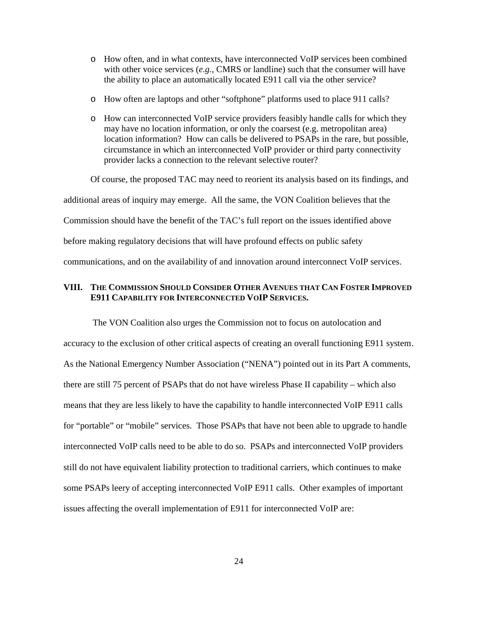- o How often, and in what contexts, have interconnected VoIP services been combined with other voice services  $(e.g., \text{CMRS or landing})$  such that the consumer will have the ability to place an automatically located E911 call via the other service?
- o How often are laptops and other "softphone" platforms used to place 911 calls?
- o How can interconnected VoIP service providers feasibly handle calls for which they may have no location information, or only the coarsest (e.g. metropolitan area) location information? How can calls be delivered to PSAPs in the rare, but possible, circumstance in which an interconnected VoIP provider or third party connectivity provider lacks a connection to the relevant selective router?

Of course, the proposed TAC may need to reorient its analysis based on its findings, and additional areas of inquiry may emerge. All the same, the VON Coalition believes that the Commission should have the benefit of the TAC's full report on the issues identified above before making regulatory decisions that will have profound effects on public safety communications, and on the availability of and innovation around interconnect VoIP services.

## **VIII. THE COMMISSION SHOULD CONSIDER OTHER AVENUES THAT CAN FOSTER IMPROVED E911 CAPABILITY FOR INTERCONNECTED VOIP SERVICES.**

The VON Coalition also urges the Commission not to focus on autolocation and accuracy to the exclusion of other critical aspects of creating an overall functioning E911 system. As the National Emergency Number Association ("NENA") pointed out in its Part A comments, there are still 75 percent of PSAPs that do not have wireless Phase II capability – which also means that they are less likely to have the capability to handle interconnected VoIP E911 calls for "portable" or "mobile" services. Those PSAPs that have not been able to upgrade to handle interconnected VoIP calls need to be able to do so. PSAPs and interconnected VoIP providers still do not have equivalent liability protection to traditional carriers, which continues to make some PSAPs leery of accepting interconnected VoIP E911 calls. Other examples of important issues affecting the overall implementation of E911 for interconnected VoIP are: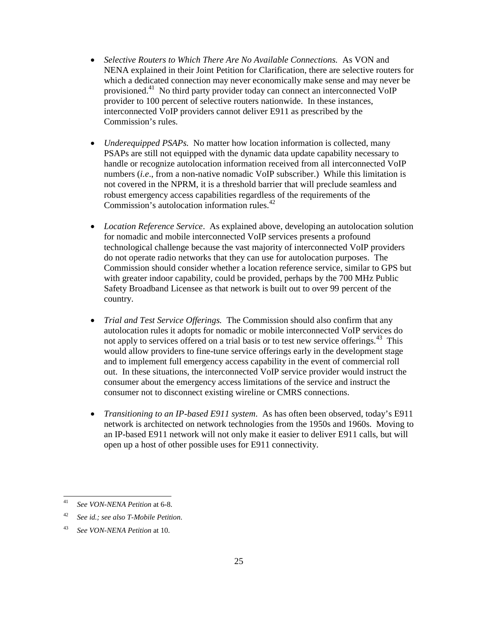- *Selective Routers to Which There Are No Available Connections.* As VON and NENA explained in their Joint Petition for Clarification, there are selective routers for which a dedicated connection may never economically make sense and may never be provisioned.<sup>41</sup> No third party provider today can connect an interconnected VoIP provider to 100 percent of selective routers nationwide. In these instances, interconnected VoIP providers cannot deliver E911 as prescribed by the Commission's rules.
- *Underequipped PSAPs.* No matter how location information is collected, many PSAPs are still not equipped with the dynamic data update capability necessary to handle or recognize autolocation information received from all interconnected VoIP numbers (*i.e*., from a non-native nomadic VoIP subscriber.) While this limitation is not covered in the NPRM, it is a threshold barrier that will preclude seamless and robust emergency access capabilities regardless of the requirements of the Commission's autolocation information rules.<sup>42</sup>
- *Location Reference Service*. As explained above, developing an autolocation solution for nomadic and mobile interconnected VoIP services presents a profound technological challenge because the vast majority of interconnected VoIP providers do not operate radio networks that they can use for autolocation purposes. The Commission should consider whether a location reference service, similar to GPS but with greater indoor capability, could be provided, perhaps by the 700 MHz Public Safety Broadband Licensee as that network is built out to over 99 percent of the country.
- *Trial and Test Service Offerings.* The Commission should also confirm that any autolocation rules it adopts for nomadic or mobile interconnected VoIP services do not apply to services offered on a trial basis or to test new service offerings.<sup>43</sup> This would allow providers to fine-tune service offerings early in the development stage and to implement full emergency access capability in the event of commercial roll out. In these situations, the interconnected VoIP service provider would instruct the consumer about the emergency access limitations of the service and instruct the consumer not to disconnect existing wireline or CMRS connections.
- *Transitioning to an IP-based E911 system*. As has often been observed, today's E911 network is architected on network technologies from the 1950s and 1960s. Moving to an IP-based E911 network will not only make it easier to deliver E911 calls, but will open up a host of other possible uses for E911 connectivity.

<sup>41</sup> *See VON-NENA Petition* at 6-8.

<sup>42</sup> *See id.; see also T-Mobile Petition*.

<sup>43</sup> *See VON-NENA Petition* at 10.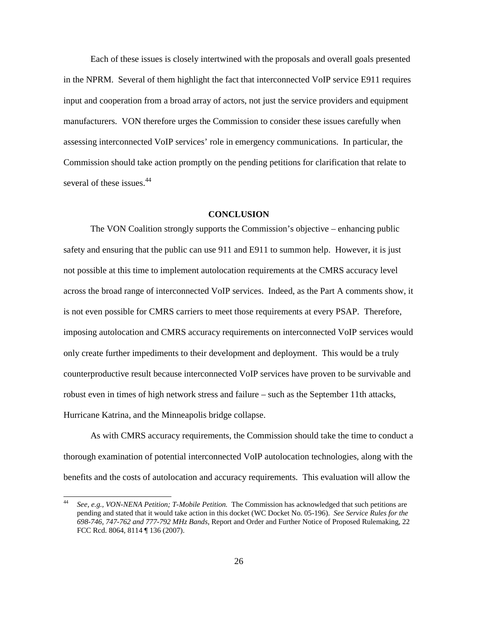Each of these issues is closely intertwined with the proposals and overall goals presented in the NPRM. Several of them highlight the fact that interconnected VoIP service E911 requires input and cooperation from a broad array of actors, not just the service providers and equipment manufacturers. VON therefore urges the Commission to consider these issues carefully when assessing interconnected VoIP services' role in emergency communications. In particular, the Commission should take action promptly on the pending petitions for clarification that relate to several of these issues.<sup>44</sup>

#### **CONCLUSION**

The VON Coalition strongly supports the Commission's objective – enhancing public safety and ensuring that the public can use 911 and E911 to summon help. However, it is just not possible at this time to implement autolocation requirements at the CMRS accuracy level across the broad range of interconnected VoIP services. Indeed, as the Part A comments show, it is not even possible for CMRS carriers to meet those requirements at every PSAP. Therefore, imposing autolocation and CMRS accuracy requirements on interconnected VoIP services would only create further impediments to their development and deployment. This would be a truly counterproductive result because interconnected VoIP services have proven to be survivable and robust even in times of high network stress and failure – such as the September 11th attacks, Hurricane Katrina, and the Minneapolis bridge collapse.

As with CMRS accuracy requirements, the Commission should take the time to conduct a thorough examination of potential interconnected VoIP autolocation technologies, along with the benefits and the costs of autolocation and accuracy requirements. This evaluation will allow the

<sup>44</sup> *See, e.g., VON-NENA Petition; T-Mobile Petition.* The Commission has acknowledged that such petitions are pending and stated that it would take action in this docket (WC Docket No. 05-196). *See Service Rules for the 698-746, 747-762 and 777-792 MHz Bands*, Report and Order and Further Notice of Proposed Rulemaking, 22 FCC Rcd. 8064, 8114 ¶ 136 (2007).